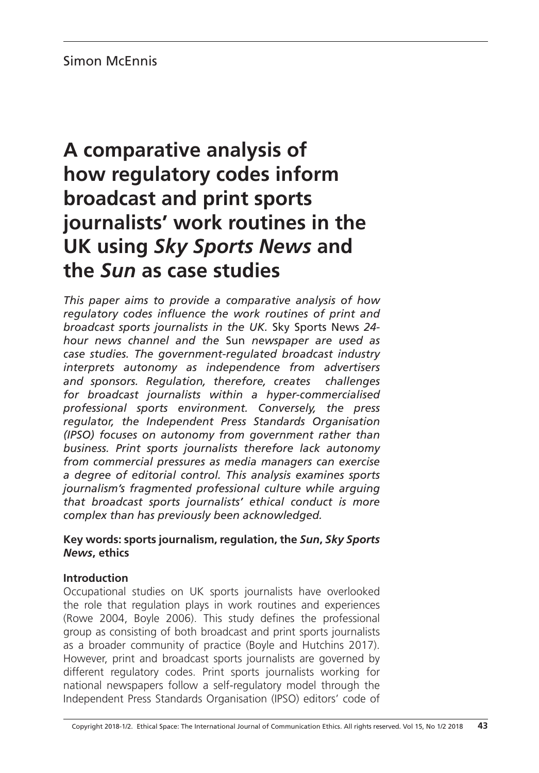# **A comparative analysis of how regulatory codes inform broadcast and print sports journalists' work routines in the UK using** *Sky Sports News* **and the** *Sun* **as case studies**

*This paper aims to provide a comparative analysis of how regulatory codes influence the work routines of print and broadcast sports journalists in the UK.* Sky Sports News *24 hour news channel and the* Sun *newspaper are used as case studies. The government-regulated broadcast industry interprets autonomy as independence from advertisers and sponsors. Regulation, therefore, creates challenges for broadcast journalists within a hyper-commercialised professional sports environment. Conversely, the press regulator, the Independent Press Standards Organisation (IPSO) focuses on autonomy from government rather than business. Print sports journalists therefore lack autonomy from commercial pressures as media managers can exercise a degree of editorial control. This analysis examines sports journalism's fragmented professional culture while arguing that broadcast sports journalists' ethical conduct is more complex than has previously been acknowledged.*

# **Key words: sports journalism, regulation, the** *Sun***,** *Sky Sports News***, ethics**

# **Introduction**

Occupational studies on UK sports journalists have overlooked the role that regulation plays in work routines and experiences (Rowe 2004, Boyle 2006). This study defines the professional group as consisting of both broadcast and print sports journalists as a broader community of practice (Boyle and Hutchins 2017). However, print and broadcast sports journalists are governed by different regulatory codes. Print sports journalists working for national newspapers follow a self-regulatory model through the Independent Press Standards Organisation (IPSO) editors' code of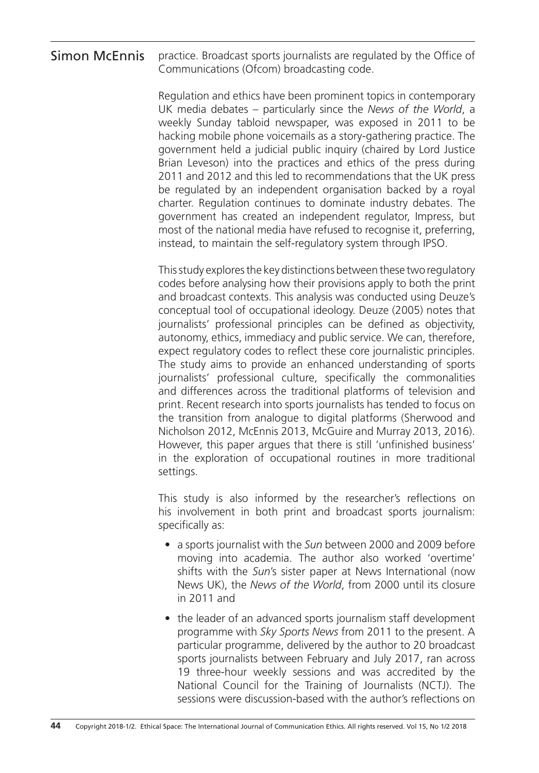#### practice. Broadcast sports journalists are regulated by the Office of Communications (Ofcom) broadcasting code. Simon McEnnis

Regulation and ethics have been prominent topics in contemporary UK media debates – particularly since the *News of the World*, a weekly Sunday tabloid newspaper, was exposed in 2011 to be hacking mobile phone voicemails as a story-gathering practice. The government held a judicial public inquiry (chaired by Lord Justice Brian Leveson) into the practices and ethics of the press during 2011 and 2012 and this led to recommendations that the UK press be regulated by an independent organisation backed by a royal charter. Regulation continues to dominate industry debates. The government has created an independent regulator, Impress, but most of the national media have refused to recognise it, preferring, instead, to maintain the self-regulatory system through IPSO.

This study explores the key distinctions between these two regulatory codes before analysing how their provisions apply to both the print and broadcast contexts. This analysis was conducted using Deuze's conceptual tool of occupational ideology. Deuze (2005) notes that journalists' professional principles can be defined as objectivity, autonomy, ethics, immediacy and public service. We can, therefore, expect regulatory codes to reflect these core journalistic principles. The study aims to provide an enhanced understanding of sports journalists' professional culture, specifically the commonalities and differences across the traditional platforms of television and print. Recent research into sports journalists has tended to focus on the transition from analogue to digital platforms (Sherwood and Nicholson 2012, McEnnis 2013, McGuire and Murray 2013, 2016). However, this paper argues that there is still 'unfinished business' in the exploration of occupational routines in more traditional settings.

This study is also informed by the researcher's reflections on his involvement in both print and broadcast sports journalism: specifically as:

- a sports journalist with the *Sun* between 2000 and 2009 before moving into academia. The author also worked 'overtime' shifts with the *Sun*'s sister paper at News International (now News UK), the *News of the World*, from 2000 until its closure in 2011 and
- the leader of an advanced sports journalism staff development programme with *Sky Sports News* from 2011 to the present. A particular programme, delivered by the author to 20 broadcast sports journalists between February and July 2017, ran across 19 three-hour weekly sessions and was accredited by the National Council for the Training of Journalists (NCTJ). The sessions were discussion-based with the author's reflections on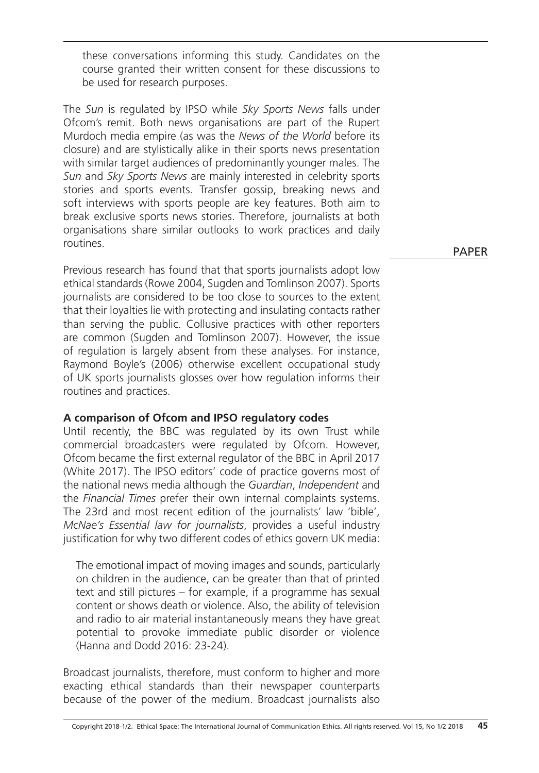these conversations informing this study. Candidates on the course granted their written consent for these discussions to be used for research purposes.

The *Sun* is regulated by IPSO while *Sky Sports News* falls under Ofcom's remit. Both news organisations are part of the Rupert Murdoch media empire (as was the *News of the World* before its closure) and are stylistically alike in their sports news presentation with similar target audiences of predominantly younger males. The *Sun* and *Sky Sports News* are mainly interested in celebrity sports stories and sports events. Transfer gossip, breaking news and soft interviews with sports people are key features. Both aim to break exclusive sports news stories. Therefore, journalists at both organisations share similar outlooks to work practices and daily routines.

Previous research has found that that sports journalists adopt low ethical standards (Rowe 2004, Sugden and Tomlinson 2007). Sports journalists are considered to be too close to sources to the extent that their loyalties lie with protecting and insulating contacts rather than serving the public. Collusive practices with other reporters are common (Sugden and Tomlinson 2007). However, the issue of regulation is largely absent from these analyses. For instance, Raymond Boyle's (2006) otherwise excellent occupational study of UK sports journalists glosses over how regulation informs their routines and practices.

# **A comparison of Ofcom and IPSO regulatory codes**

Until recently, the BBC was regulated by its own Trust while commercial broadcasters were regulated by Ofcom. However, Ofcom became the first external regulator of the BBC in April 2017 (White 2017). The IPSO editors' code of practice governs most of the national news media although the *Guardian*, *Independent* and the *Financial Times* prefer their own internal complaints systems. The 23rd and most recent edition of the journalists' law 'bible', *McNae's Essential law for journalists*, provides a useful industry justification for why two different codes of ethics govern UK media:

The emotional impact of moving images and sounds, particularly on children in the audience, can be greater than that of printed text and still pictures – for example, if a programme has sexual content or shows death or violence. Also, the ability of television and radio to air material instantaneously means they have great potential to provoke immediate public disorder or violence (Hanna and Dodd 2016: 23-24).

Broadcast journalists, therefore, must conform to higher and more exacting ethical standards than their newspaper counterparts because of the power of the medium. Broadcast journalists also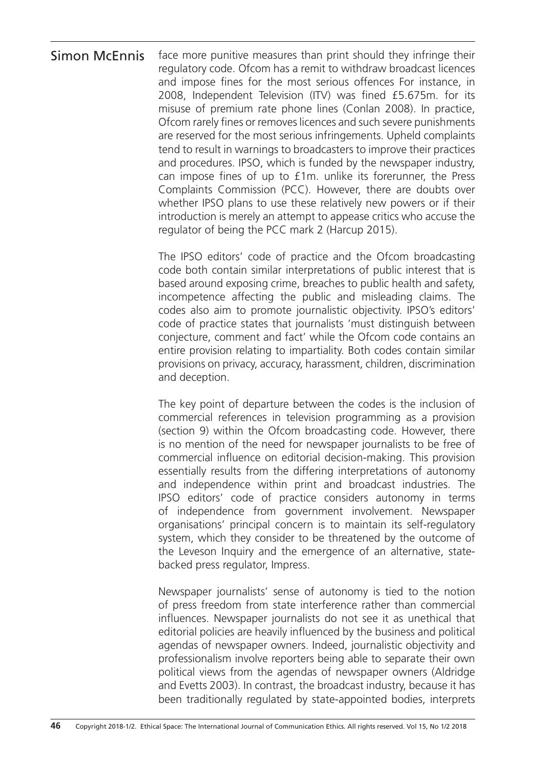face more punitive measures than print should they infringe their regulatory code. Ofcom has a remit to withdraw broadcast licences and impose fines for the most serious offences For instance, in 2008, Independent Television (ITV) was fined £5.675m. for its misuse of premium rate phone lines (Conlan 2008). In practice, Ofcom rarely fines or removes licences and such severe punishments are reserved for the most serious infringements. Upheld complaints tend to result in warnings to broadcasters to improve their practices and procedures. IPSO, which is funded by the newspaper industry, can impose fines of up to £1m. unlike its forerunner, the Press Complaints Commission (PCC). However, there are doubts over whether IPSO plans to use these relatively new powers or if their introduction is merely an attempt to appease critics who accuse the regulator of being the PCC mark 2 (Harcup 2015). Simon McEnnis

> The IPSO editors' code of practice and the Ofcom broadcasting code both contain similar interpretations of public interest that is based around exposing crime, breaches to public health and safety, incompetence affecting the public and misleading claims. The codes also aim to promote journalistic objectivity. IPSO's editors' code of practice states that journalists 'must distinguish between conjecture, comment and fact' while the Ofcom code contains an entire provision relating to impartiality. Both codes contain similar provisions on privacy, accuracy, harassment, children, discrimination and deception.

> The key point of departure between the codes is the inclusion of commercial references in television programming as a provision (section 9) within the Ofcom broadcasting code. However, there is no mention of the need for newspaper journalists to be free of commercial influence on editorial decision-making. This provision essentially results from the differing interpretations of autonomy and independence within print and broadcast industries. The IPSO editors' code of practice considers autonomy in terms of independence from government involvement. Newspaper organisations' principal concern is to maintain its self-regulatory system, which they consider to be threatened by the outcome of the Leveson Inquiry and the emergence of an alternative, statebacked press regulator, Impress.

> Newspaper journalists' sense of autonomy is tied to the notion of press freedom from state interference rather than commercial influences. Newspaper journalists do not see it as unethical that editorial policies are heavily influenced by the business and political agendas of newspaper owners. Indeed, journalistic objectivity and professionalism involve reporters being able to separate their own political views from the agendas of newspaper owners (Aldridge and Evetts 2003). In contrast, the broadcast industry, because it has been traditionally regulated by state-appointed bodies, interprets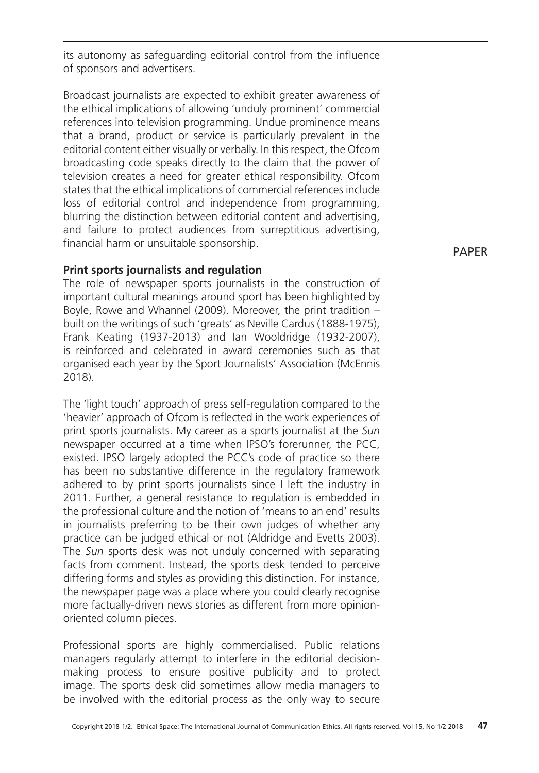its autonomy as safeguarding editorial control from the influence of sponsors and advertisers.

Broadcast journalists are expected to exhibit greater awareness of the ethical implications of allowing 'unduly prominent' commercial references into television programming. Undue prominence means that a brand, product or service is particularly prevalent in the editorial content either visually or verbally. In this respect, the Ofcom broadcasting code speaks directly to the claim that the power of television creates a need for greater ethical responsibility. Ofcom states that the ethical implications of commercial references include loss of editorial control and independence from programming, blurring the distinction between editorial content and advertising, and failure to protect audiences from surreptitious advertising, financial harm or unsuitable sponsorship.

# **Print sports journalists and regulation**

The role of newspaper sports journalists in the construction of important cultural meanings around sport has been highlighted by Boyle, Rowe and Whannel (2009). Moreover, the print tradition – built on the writings of such 'greats' as Neville Cardus (1888-1975), Frank Keating (1937-2013) and Ian Wooldridge (1932-2007), is reinforced and celebrated in award ceremonies such as that organised each year by the Sport Journalists' Association (McEnnis 2018).

The 'light touch' approach of press self-regulation compared to the 'heavier' approach of Ofcom is reflected in the work experiences of print sports journalists. My career as a sports journalist at the *Sun* newspaper occurred at a time when IPSO's forerunner, the PCC, existed. IPSO largely adopted the PCC's code of practice so there has been no substantive difference in the regulatory framework adhered to by print sports journalists since I left the industry in 2011. Further, a general resistance to regulation is embedded in the professional culture and the notion of 'means to an end' results in journalists preferring to be their own judges of whether any practice can be judged ethical or not (Aldridge and Evetts 2003). The *Sun* sports desk was not unduly concerned with separating facts from comment. Instead, the sports desk tended to perceive differing forms and styles as providing this distinction. For instance, the newspaper page was a place where you could clearly recognise more factually-driven news stories as different from more opinionoriented column pieces.

Professional sports are highly commercialised. Public relations managers regularly attempt to interfere in the editorial decisionmaking process to ensure positive publicity and to protect image. The sports desk did sometimes allow media managers to be involved with the editorial process as the only way to secure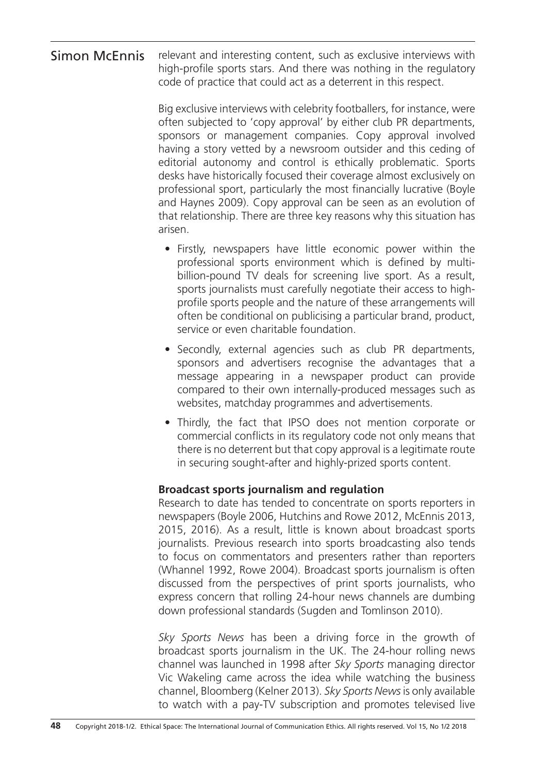#### relevant and interesting content, such as exclusive interviews with high-profile sports stars. And there was nothing in the regulatory code of practice that could act as a deterrent in this respect. Simon McEnnis

Big exclusive interviews with celebrity footballers, for instance, were often subjected to 'copy approval' by either club PR departments, sponsors or management companies. Copy approval involved having a story vetted by a newsroom outsider and this ceding of editorial autonomy and control is ethically problematic. Sports desks have historically focused their coverage almost exclusively on professional sport, particularly the most financially lucrative (Boyle and Haynes 2009). Copy approval can be seen as an evolution of that relationship. There are three key reasons why this situation has arisen.

- Firstly, newspapers have little economic power within the professional sports environment which is defined by multibillion-pound TV deals for screening live sport. As a result, sports journalists must carefully negotiate their access to highprofile sports people and the nature of these arrangements will often be conditional on publicising a particular brand, product, service or even charitable foundation.
- Secondly, external agencies such as club PR departments, sponsors and advertisers recognise the advantages that a message appearing in a newspaper product can provide compared to their own internally-produced messages such as websites, matchday programmes and advertisements.
- Thirdly, the fact that IPSO does not mention corporate or commercial conflicts in its regulatory code not only means that there is no deterrent but that copy approval is a legitimate route in securing sought-after and highly-prized sports content.

# **Broadcast sports journalism and regulation**

Research to date has tended to concentrate on sports reporters in newspapers (Boyle 2006, Hutchins and Rowe 2012, McEnnis 2013, 2015, 2016). As a result, little is known about broadcast sports journalists. Previous research into sports broadcasting also tends to focus on commentators and presenters rather than reporters (Whannel 1992, Rowe 2004). Broadcast sports journalism is often discussed from the perspectives of print sports journalists, who express concern that rolling 24-hour news channels are dumbing down professional standards (Sugden and Tomlinson 2010).

*Sky Sports News* has been a driving force in the growth of broadcast sports journalism in the UK. The 24-hour rolling news channel was launched in 1998 after *Sky Sports* managing director Vic Wakeling came across the idea while watching the business channel, Bloomberg (Kelner 2013). *Sky Sports News* is only available to watch with a pay-TV subscription and promotes televised live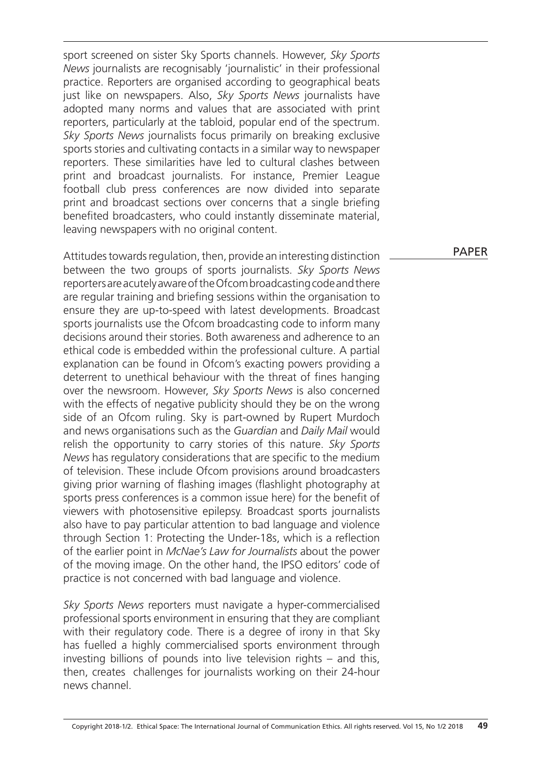sport screened on sister Sky Sports channels. However, *Sky Sports News* journalists are recognisably 'journalistic' in their professional practice. Reporters are organised according to geographical beats just like on newspapers. Also, *Sky Sports News* journalists have adopted many norms and values that are associated with print reporters, particularly at the tabloid, popular end of the spectrum. *Sky Sports News* journalists focus primarily on breaking exclusive sports stories and cultivating contacts in a similar way to newspaper reporters. These similarities have led to cultural clashes between print and broadcast journalists. For instance, Premier League football club press conferences are now divided into separate print and broadcast sections over concerns that a single briefing benefited broadcasters, who could instantly disseminate material, leaving newspapers with no original content.

Attitudes towards regulation, then, provide an interesting distinction between the two groups of sports journalists. *Sky Sports News* reporters are acutely aware of the Ofcom broadcasting code and there are regular training and briefing sessions within the organisation to ensure they are up-to-speed with latest developments. Broadcast sports journalists use the Ofcom broadcasting code to inform many decisions around their stories. Both awareness and adherence to an ethical code is embedded within the professional culture. A partial explanation can be found in Ofcom's exacting powers providing a deterrent to unethical behaviour with the threat of fines hanging over the newsroom. However, *Sky Sports News* is also concerned with the effects of negative publicity should they be on the wrong side of an Ofcom ruling. Sky is part-owned by Rupert Murdoch and news organisations such as the *Guardian* and *Daily Mail* would relish the opportunity to carry stories of this nature. *Sky Sports News* has regulatory considerations that are specific to the medium of television. These include Ofcom provisions around broadcasters giving prior warning of flashing images (flashlight photography at sports press conferences is a common issue here) for the benefit of viewers with photosensitive epilepsy. Broadcast sports journalists also have to pay particular attention to bad language and violence through Section 1: Protecting the Under-18s, which is a reflection of the earlier point in *McNae's Law for Journalists* about the power of the moving image. On the other hand, the IPSO editors' code of practice is not concerned with bad language and violence.

*Sky Sports News* reporters must navigate a hyper-commercialised professional sports environment in ensuring that they are compliant with their regulatory code. There is a degree of irony in that Sky has fuelled a highly commercialised sports environment through investing billions of pounds into live television rights – and this, then, creates challenges for journalists working on their 24-hour news channel.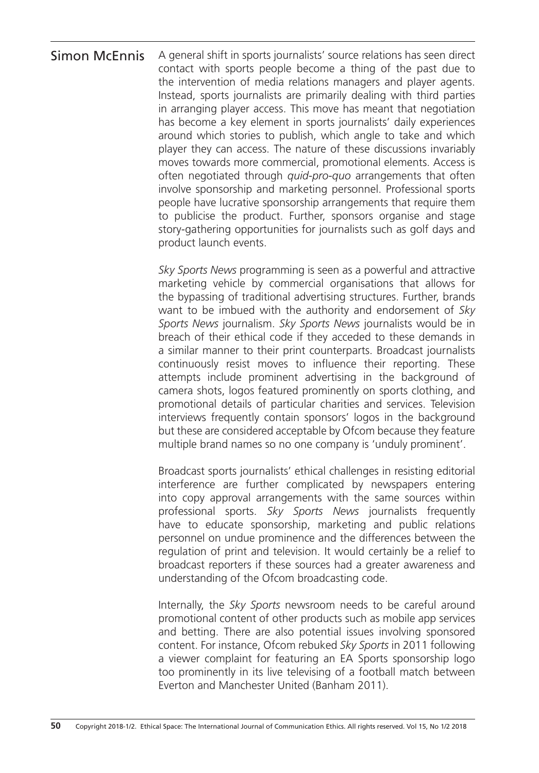# A general shift in sports journalists' source relations has seen direct contact with sports people become a thing of the past due to the intervention of media relations managers and player agents. Instead, sports journalists are primarily dealing with third parties in arranging player access. This move has meant that negotiation has become a key element in sports journalists' daily experiences around which stories to publish, which angle to take and which player they can access. The nature of these discussions invariably moves towards more commercial, promotional elements. Access is often negotiated through *quid-pro-quo* arrangements that often involve sponsorship and marketing personnel. Professional sports people have lucrative sponsorship arrangements that require them to publicise the product. Further, sponsors organise and stage story-gathering opportunities for journalists such as golf days and product launch events. Simon McEnnis

*Sky Sports News* programming is seen as a powerful and attractive marketing vehicle by commercial organisations that allows for the bypassing of traditional advertising structures. Further, brands want to be imbued with the authority and endorsement of *Sky Sports News* journalism. *Sky Sports News* journalists would be in breach of their ethical code if they acceded to these demands in a similar manner to their print counterparts. Broadcast journalists continuously resist moves to influence their reporting. These attempts include prominent advertising in the background of camera shots, logos featured prominently on sports clothing, and promotional details of particular charities and services. Television interviews frequently contain sponsors' logos in the background but these are considered acceptable by Ofcom because they feature multiple brand names so no one company is 'unduly prominent'.

Broadcast sports journalists' ethical challenges in resisting editorial interference are further complicated by newspapers entering into copy approval arrangements with the same sources within professional sports. *Sky Sports News* journalists frequently have to educate sponsorship, marketing and public relations personnel on undue prominence and the differences between the regulation of print and television. It would certainly be a relief to broadcast reporters if these sources had a greater awareness and understanding of the Ofcom broadcasting code.

Internally, the *Sky Sports* newsroom needs to be careful around promotional content of other products such as mobile app services and betting. There are also potential issues involving sponsored content. For instance, Ofcom rebuked *Sky Sports* in 2011 following a viewer complaint for featuring an EA Sports sponsorship logo too prominently in its live televising of a football match between Everton and Manchester United (Banham 2011).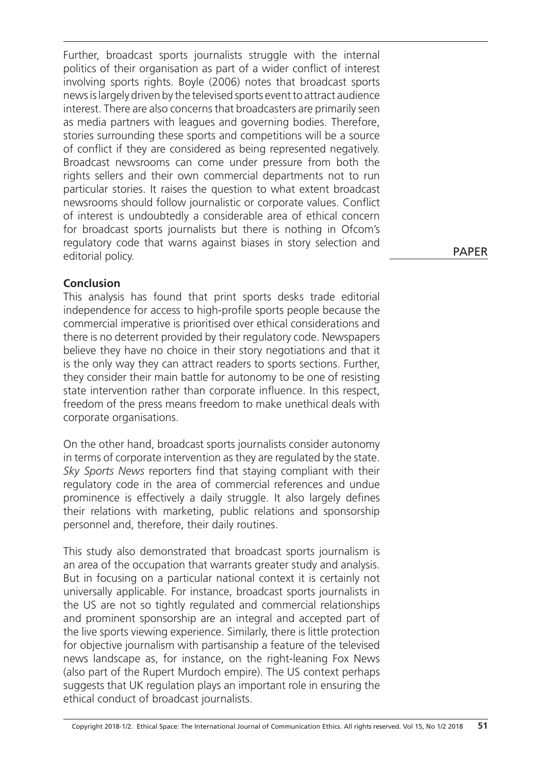Further, broadcast sports journalists struggle with the internal politics of their organisation as part of a wider conflict of interest involving sports rights. Boyle (2006) notes that broadcast sports news is largely driven by the televised sports event to attract audience interest. There are also concerns that broadcasters are primarily seen as media partners with leagues and governing bodies. Therefore, stories surrounding these sports and competitions will be a source of conflict if they are considered as being represented negatively. Broadcast newsrooms can come under pressure from both the rights sellers and their own commercial departments not to run particular stories. It raises the question to what extent broadcast newsrooms should follow journalistic or corporate values. Conflict of interest is undoubtedly a considerable area of ethical concern for broadcast sports journalists but there is nothing in Ofcom's regulatory code that warns against biases in story selection and editorial policy.

# **Conclusion**

This analysis has found that print sports desks trade editorial independence for access to high-profile sports people because the commercial imperative is prioritised over ethical considerations and there is no deterrent provided by their regulatory code. Newspapers believe they have no choice in their story negotiations and that it is the only way they can attract readers to sports sections. Further, they consider their main battle for autonomy to be one of resisting state intervention rather than corporate influence. In this respect, freedom of the press means freedom to make unethical deals with corporate organisations.

On the other hand, broadcast sports journalists consider autonomy in terms of corporate intervention as they are regulated by the state. *Sky Sports News* reporters find that staying compliant with their regulatory code in the area of commercial references and undue prominence is effectively a daily struggle. It also largely defines their relations with marketing, public relations and sponsorship personnel and, therefore, their daily routines.

This study also demonstrated that broadcast sports journalism is an area of the occupation that warrants greater study and analysis. But in focusing on a particular national context it is certainly not universally applicable. For instance, broadcast sports journalists in the US are not so tightly regulated and commercial relationships and prominent sponsorship are an integral and accepted part of the live sports viewing experience. Similarly, there is little protection for objective journalism with partisanship a feature of the televised news landscape as, for instance, on the right-leaning Fox News (also part of the Rupert Murdoch empire). The US context perhaps suggests that UK regulation plays an important role in ensuring the ethical conduct of broadcast journalists.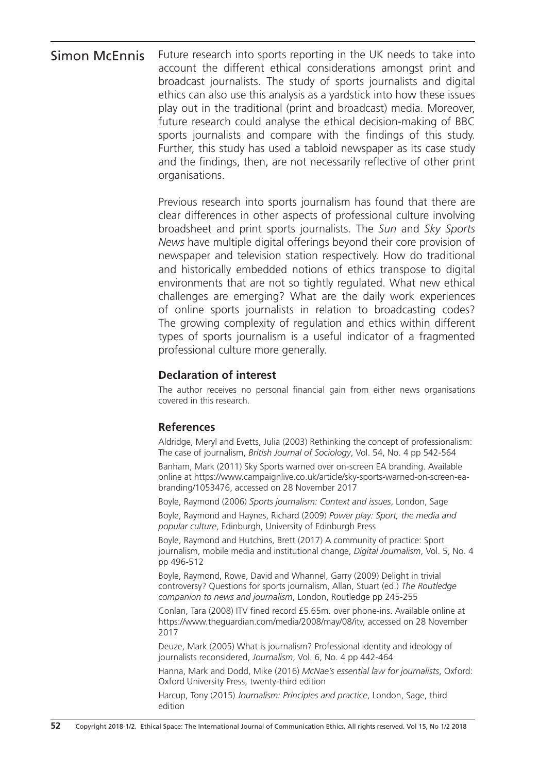### Future research into sports reporting in the UK needs to take into account the different ethical considerations amongst print and broadcast journalists. The study of sports journalists and digital ethics can also use this analysis as a yardstick into how these issues play out in the traditional (print and broadcast) media. Moreover, future research could analyse the ethical decision-making of BBC sports journalists and compare with the findings of this study. Further, this study has used a tabloid newspaper as its case study and the findings, then, are not necessarily reflective of other print organisations. Simon McEnnis

Previous research into sports journalism has found that there are clear differences in other aspects of professional culture involving broadsheet and print sports journalists. The *Sun* and *Sky Sports News* have multiple digital offerings beyond their core provision of newspaper and television station respectively. How do traditional and historically embedded notions of ethics transpose to digital environments that are not so tightly regulated. What new ethical challenges are emerging? What are the daily work experiences of online sports journalists in relation to broadcasting codes? The growing complexity of regulation and ethics within different types of sports journalism is a useful indicator of a fragmented professional culture more generally.

# **Declaration of interest**

The author receives no personal financial gain from either news organisations covered in this research.

### **References**

Aldridge, Meryl and Evetts, Julia (2003) Rethinking the concept of professionalism: The case of journalism, *British Journal of Sociology*, Vol. 54, No. 4 pp 542-564

Banham, Mark (2011) Sky Sports warned over on-screen EA branding. Available online at https://www.campaignlive.co.uk/article/sky-sports-warned-on-screen-eabranding/1053476, accessed on 28 November 2017

Boyle, Raymond (2006) *Sports journalism: Context and issues*, London, Sage

Boyle, Raymond and Haynes, Richard (2009) *Power play: Sport, the media and popular culture*, Edinburgh, University of Edinburgh Press

Boyle, Raymond and Hutchins, Brett (2017) A community of practice: Sport journalism, mobile media and institutional change, *Digital Journalism*, Vol. 5, No. 4 pp 496-512

Boyle, Raymond, Rowe, David and Whannel, Garry (2009) Delight in trivial controversy? Questions for sports journalism, Allan, Stuart (ed.) *The Routledge companion to news and journalism*, London, Routledge pp 245-255

Conlan, Tara (2008) ITV fined record £5.65m. over phone-ins. Available online at https://www.theguardian.com/media/2008/may/08/itv, accessed on 28 November 2017

Deuze, Mark (2005) What is journalism? Professional identity and ideology of journalists reconsidered, *Journalism*, Vol. 6, No. 4 pp 442-464

Hanna, Mark and Dodd, Mike (2016) *McNae's essential law for journalists*, Oxford: Oxford University Press, twenty-third edition

Harcup, Tony (2015) *Journalism: Principles and practice*, London, Sage, third edition